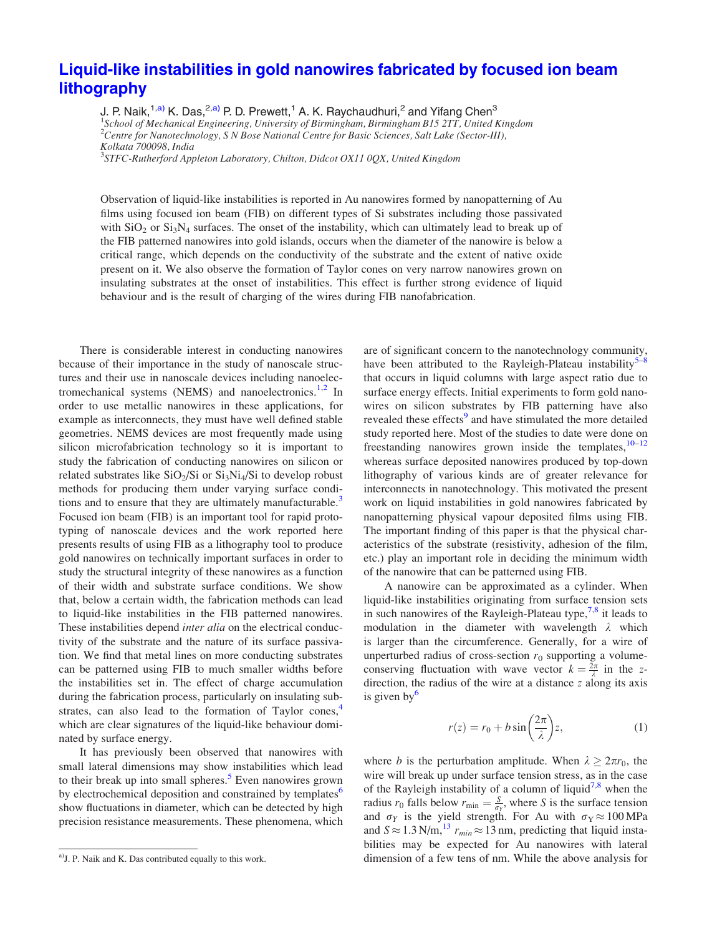## [Liquid-like instabilities in gold nanowires fabricated by focused ion beam](http://dx.doi.org/10.1063/1.4761249) [lithography](http://dx.doi.org/10.1063/1.4761249)

J. P. Naik,<sup>1,a)</sup> K. Das,<sup>2,a)</sup> P. D. Prewett,<sup>1</sup> A. K. Raychaudhuri,<sup>2</sup> and Yifang Chen<sup>3</sup> <sup>1</sup>School of Mechanical Engineering, University of Birmingham, Birmingham B15 2TT, United Kingdom <sup>2</sup>Centre for Nanotechnology, S N Bose National Centre for Basic Sciences, Salt Lake (Sector-III), Kolkata 700098, India <sup>3</sup>STFC-Rutherford Appleton Laboratory, Chilton, Didcot OX11 0QX, United Kingdom

Observation of liquid-like instabilities is reported in Au nanowires formed by nanopatterning of Au films using focused ion beam (FIB) on different types of Si substrates including those passivated with  $SiO<sub>2</sub>$  or  $Si<sub>3</sub>N<sub>4</sub>$  surfaces. The onset of the instability, which can ultimately lead to break up of the FIB patterned nanowires into gold islands, occurs when the diameter of the nanowire is below a critical range, which depends on the conductivity of the substrate and the extent of native oxide present on it. We also observe the formation of Taylor cones on very narrow nanowires grown on insulating substrates at the onset of instabilities. This effect is further strong evidence of liquid

behaviour and is the result of charging of the wires during FIB nanofabrication.

There is considerable interest in conducting nanowires because of their importance in the study of nanoscale structures and their use in nanoscale devices including nanoelectromechanical systems (NEMS) and nanoelectronics. $1,2$  $1,2$  $1,2$  In order to use metallic nanowires in these applications, for example as interconnects, they must have well defined stable geometries. NEMS devices are most frequently made using silicon microfabrication technology so it is important to study the fabrication of conducting nanowires on silicon or related substrates like  $SiO<sub>2</sub>/Si$  or  $Si<sub>3</sub>Ni<sub>4</sub>/Si$  to develop robust methods for producing them under varying surface condi-tions and to ensure that they are ultimately manufacturable.<sup>[3](#page-3-0)</sup> Focused ion beam (FIB) is an important tool for rapid prototyping of nanoscale devices and the work reported here presents results of using FIB as a lithography tool to produce gold nanowires on technically important surfaces in order to study the structural integrity of these nanowires as a function of their width and substrate surface conditions. We show that, below a certain width, the fabrication methods can lead to liquid-like instabilities in the FIB patterned nanowires. These instabilities depend *inter alia* on the electrical conductivity of the substrate and the nature of its surface passivation. We find that metal lines on more conducting substrates can be patterned using FIB to much smaller widths before the instabilities set in. The effect of charge accumulation during the fabrication process, particularly on insulating substrates, can also lead to the formation of Taylor cones, $4$ which are clear signatures of the liquid-like behaviour dominated by surface energy.

It has previously been observed that nanowires with small lateral dimensions may show instabilities which lead to their break up into small spheres.<sup>[5](#page-3-0)</sup> Even nanowires grown by electrochemical deposition and constrained by templates<sup>[6](#page-3-0)</sup> show fluctuations in diameter, which can be detected by high precision resistance measurements. These phenomena, which are of significant concern to the nanotechnology community, have been attributed to the Rayleigh-Plateau instability $5-8$ that occurs in liquid columns with large aspect ratio due to surface energy effects. Initial experiments to form gold nanowires on silicon substrates by FIB patterning have also revealed these effects<sup>[9](#page-3-0)</sup> and have stimulated the more detailed study reported here. Most of the studies to date were done on freestanding nanowires grown inside the templates, $10-12$ whereas surface deposited nanowires produced by top-down lithography of various kinds are of greater relevance for interconnects in nanotechnology. This motivated the present work on liquid instabilities in gold nanowires fabricated by nanopatterning physical vapour deposited films using FIB. The important finding of this paper is that the physical characteristics of the substrate (resistivity, adhesion of the film, etc.) play an important role in deciding the minimum width of the nanowire that can be patterned using FIB.

A nanowire can be approximated as a cylinder. When liquid-like instabilities originating from surface tension sets in such nanowires of the Rayleigh-Plateau type,  $7.8$  it leads to modulation in the diameter with wavelength  $\lambda$  which is larger than the circumference. Generally, for a wire of unperturbed radius of cross-section  $r_0$  supporting a volumeconserving fluctuation with wave vector  $k = \frac{2\pi}{\lambda}$  in the zdirection, the radius of the wire at a distance z along its axis is given by $\frac{6}{5}$ 

$$
r(z) = r_0 + b \sin\left(\frac{2\pi}{\lambda}\right) z,\tag{1}
$$

where *b* is the perturbation amplitude. When  $\lambda \geq 2\pi r_0$ , the wire will break up under surface tension stress, as in the case of the Rayleigh instability of a column of liquid<sup>[7,8](#page-3-0)</sup> when the radius  $r_0$  falls below  $r_{\min} = \frac{S}{\sigma_Y}$ , where S is the surface tension and  $\sigma_Y$  is the yield strength. For Au with  $\sigma_Y \approx 100 \text{ MPa}$ and  $S \approx 1.3$  N/m,<sup>13</sup>  $r_{min} \approx 13$  nm, predicting that liquid instabilities may be expected for Au nanowires with lateral <sup>a)</sup> J. P. Naik and K. Das contributed equally to this work. dimension of a few tens of nm. While the above analysis for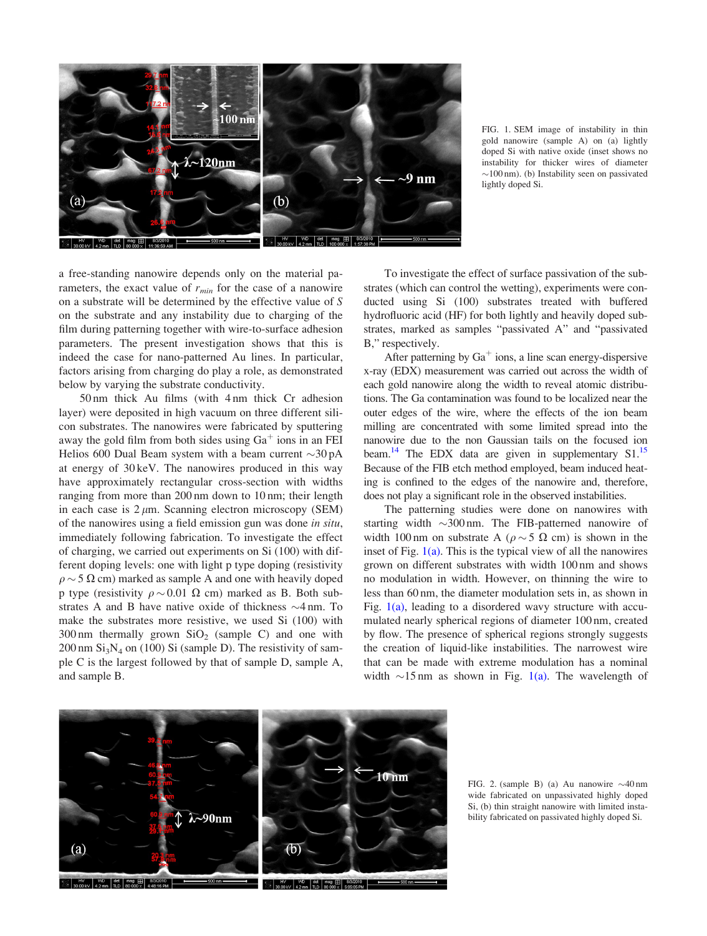<span id="page-1-0"></span>

FIG. 1. SEM image of instability in thin gold nanowire (sample A) on (a) lightly doped Si with native oxide (inset shows no instability for thicker wires of diameter  $\sim$ 100 nm). (b) Instability seen on passivated lightly doped Si.

a free-standing nanowire depends only on the material parameters, the exact value of  $r_{min}$  for the case of a nanowire on a substrate will be determined by the effective value of S on the substrate and any instability due to charging of the film during patterning together with wire-to-surface adhesion parameters. The present investigation shows that this is indeed the case for nano-patterned Au lines. In particular, factors arising from charging do play a role, as demonstrated below by varying the substrate conductivity.

50 nm thick Au films (with 4 nm thick Cr adhesion layer) were deposited in high vacuum on three different silicon substrates. The nanowires were fabricated by sputtering away the gold film from both sides using  $Ga<sup>+</sup>$  ions in an FEI Helios 600 Dual Beam system with a beam current  $\sim$ 30 pA at energy of 30 keV. The nanowires produced in this way have approximately rectangular cross-section with widths ranging from more than 200 nm down to 10 nm; their length in each case is  $2 \mu m$ . Scanning electron microscopy (SEM) of the nanowires using a field emission gun was done in situ, immediately following fabrication. To investigate the effect of charging, we carried out experiments on Si (100) with different doping levels: one with light p type doping (resistivity  $\rho \sim 5 \Omega$  cm) marked as sample A and one with heavily doped p type (resistivity  $\rho \sim 0.01 \Omega$  cm) marked as B. Both substrates A and B have native oxide of thickness  $\sim$ 4 nm. To make the substrates more resistive, we used Si (100) with  $300 \text{ nm}$  thermally grown  $SiO<sub>2</sub>$  (sample C) and one with  $200 \text{ nm } Si_3N_4$  on (100) Si (sample D). The resistivity of sample C is the largest followed by that of sample D, sample A, and sample B.

To investigate the effect of surface passivation of the substrates (which can control the wetting), experiments were conducted using Si (100) substrates treated with buffered hydrofluoric acid (HF) for both lightly and heavily doped substrates, marked as samples "passivated A" and "passivated B," respectively.

After patterning by  $Ga<sup>+</sup>$  ions, a line scan energy-dispersive x-ray (EDX) measurement was carried out across the width of each gold nanowire along the width to reveal atomic distributions. The Ga contamination was found to be localized near the outer edges of the wire, where the effects of the ion beam milling are concentrated with some limited spread into the nanowire due to the non Gaussian tails on the focused ion beam.<sup>14</sup> The EDX data are given in supplementary  $S1$ .<sup>[15](#page-3-0)</sup> Because of the FIB etch method employed, beam induced heating is confined to the edges of the nanowire and, therefore, does not play a significant role in the observed instabilities.

The patterning studies were done on nanowires with starting width  $\sim$ 300 nm. The FIB-patterned nanowire of width 100 nm on substrate A ( $\rho \sim 5 \Omega$  cm) is shown in the inset of Fig.  $1(a)$ . This is the typical view of all the nanowires grown on different substrates with width 100 nm and shows no modulation in width. However, on thinning the wire to less than 60 nm, the diameter modulation sets in, as shown in Fig. 1(a), leading to a disordered wavy structure with accumulated nearly spherical regions of diameter 100 nm, created by flow. The presence of spherical regions strongly suggests the creation of liquid-like instabilities. The narrowest wire that can be made with extreme modulation has a nominal width  $\sim$ 15 nm as shown in Fig. 1(a). The wavelength of



FIG. 2. (sample B) (a) Au nanowire  $\sim$ 40 nm wide fabricated on unpassivated highly doped Si, (b) thin straight nanowire with limited instability fabricated on passivated highly doped Si.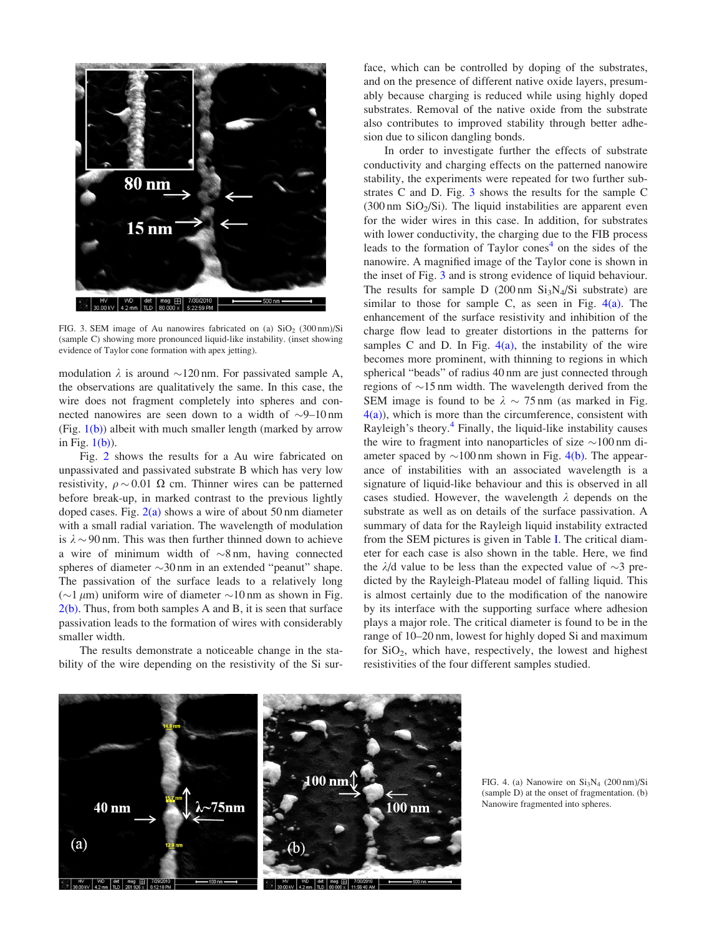

FIG. 3. SEM image of Au nanowires fabricated on (a)  $SiO<sub>2</sub>$  (300 nm)/Si (sample C) showing more pronounced liquid-like instability. (inset showing evidence of Taylor cone formation with apex jetting).

modulation  $\lambda$  is around  $\sim$ 120 nm. For passivated sample A, the observations are qualitatively the same. In this case, the wire does not fragment completely into spheres and connected nanowires are seen down to a width of  $\sim$ 9–10 nm (Fig.  $1(b)$ ) albeit with much smaller length (marked by arrow in Fig.  $1(b)$ ).

Fig. [2](#page-1-0) shows the results for a Au wire fabricated on unpassivated and passivated substrate B which has very low resistivity,  $\rho \sim 0.01 \Omega$  cm. Thinner wires can be patterned before break-up, in marked contrast to the previous lightly doped cases. Fig.  $2(a)$  shows a wire of about 50 nm diameter with a small radial variation. The wavelength of modulation is  $\lambda \sim 90$  nm. This was then further thinned down to achieve a wire of minimum width of  $\sim 8$  nm, having connected spheres of diameter  $\sim$ 30 nm in an extended "peanut" shape. The passivation of the surface leads to a relatively long ( $\sim$ 1  $\mu$ m) uniform wire of diameter  $\sim$ 10 nm as shown in Fig.  $2(b)$ . Thus, from both samples A and B, it is seen that surface passivation leads to the formation of wires with considerably smaller width.

The results demonstrate a noticeable change in the stability of the wire depending on the resistivity of the Si surface, which can be controlled by doping of the substrates, and on the presence of different native oxide layers, presumably because charging is reduced while using highly doped substrates. Removal of the native oxide from the substrate also contributes to improved stability through better adhesion due to silicon dangling bonds.

In order to investigate further the effects of substrate conductivity and charging effects on the patterned nanowire stability, the experiments were repeated for two further substrates C and D. Fig. 3 shows the results for the sample C  $(300 \text{ nm } \text{SiO}_2/\text{Si})$ . The liquid instabilities are apparent even for the wider wires in this case. In addition, for substrates with lower conductivity, the charging due to the FIB process leads to the formation of Taylor cones $4$  on the sides of the nanowire. A magnified image of the Taylor cone is shown in the inset of Fig. 3 and is strong evidence of liquid behaviour. The results for sample D (200 nm  $Si<sub>3</sub>N<sub>4</sub>/Si$  substrate) are similar to those for sample C, as seen in Fig.  $4(a)$ . The enhancement of the surface resistivity and inhibition of the charge flow lead to greater distortions in the patterns for samples C and D. In Fig.  $4(a)$ , the instability of the wire becomes more prominent, with thinning to regions in which spherical "beads" of radius 40 nm are just connected through regions of  $\sim$ 15 nm width. The wavelength derived from the SEM image is found to be  $\lambda \sim 75$  nm (as marked in Fig.  $4(a)$ , which is more than the circumference, consistent with Rayleigh's theory. $4$  Finally, the liquid-like instability causes the wire to fragment into nanoparticles of size  $\sim 100$  nm diameter spaced by  $\sim$ 100 nm shown in Fig. 4(b). The appearance of instabilities with an associated wavelength is a signature of liquid-like behaviour and this is observed in all cases studied. However, the wavelength  $\lambda$  depends on the substrate as well as on details of the surface passivation. A summary of data for the Rayleigh liquid instability extracted from the SEM pictures is given in Table [I](#page-3-0). The critical diameter for each case is also shown in the table. Here, we find the  $\lambda$ /d value to be less than the expected value of  $\sim$ 3 predicted by the Rayleigh-Plateau model of falling liquid. This is almost certainly due to the modification of the nanowire by its interface with the supporting surface where adhesion plays a major role. The critical diameter is found to be in the range of 10–20 nm, lowest for highly doped Si and maximum for  $SiO<sub>2</sub>$ , which have, respectively, the lowest and highest resistivities of the four different samples studied.



FIG. 4. (a) Nanowire on  $Si<sub>3</sub>N<sub>4</sub>$  (200 nm)/Si (sample D) at the onset of fragmentation. (b) Nanowire fragmented into spheres.